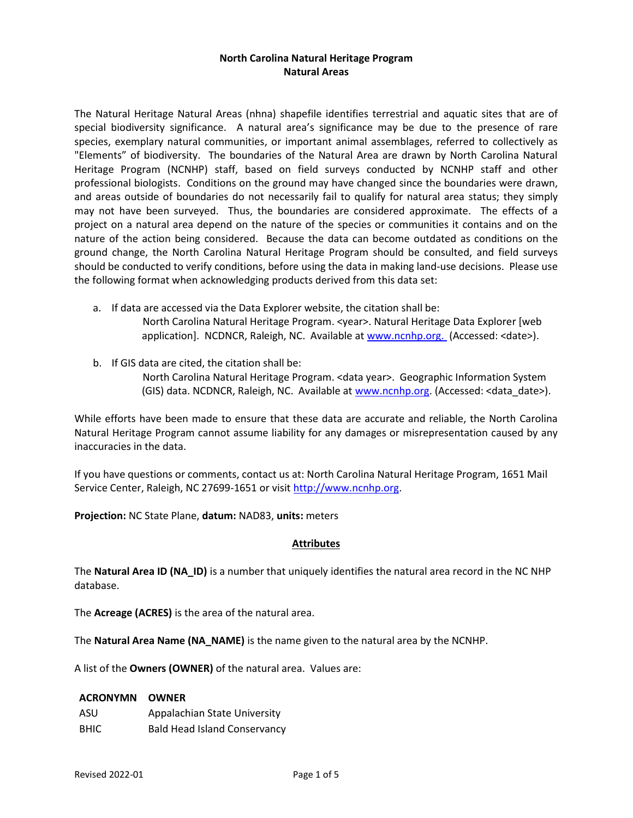## North Carolina Natural Heritage Program Natural Areas

The Natural Heritage Natural Areas (nhna) shapefile identifies terrestrial and aquatic sites that are of special biodiversity significance. A natural area's significance may be due to the presence of rare species, exemplary natural communities, or important animal assemblages, referred to collectively as "Elements" of biodiversity. The boundaries of the Natural Area are drawn by North Carolina Natural Heritage Program (NCNHP) staff, based on field surveys conducted by NCNHP staff and other professional biologists. Conditions on the ground may have changed since the boundaries were drawn, and areas outside of boundaries do not necessarily fail to qualify for natural area status; they simply may not have been surveyed. Thus, the boundaries are considered approximate. The effects of a project on a natural area depend on the nature of the species or communities it contains and on the nature of the action being considered. Because the data can become outdated as conditions on the ground change, the North Carolina Natural Heritage Program should be consulted, and field surveys should be conducted to verify conditions, before using the data in making land-use decisions. Please use the following format when acknowledging products derived from this data set:

- a. If data are accessed via the Data Explorer website, the citation shall be: North Carolina Natural Heritage Program. <year>. Natural Heritage Data Explorer [web application]. NCDNCR, Raleigh, NC. Available at www.ncnhp.org. (Accessed: <date>).
- b. If GIS data are cited, the citation shall be:

 North Carolina Natural Heritage Program. <data year>. Geographic Information System (GIS) data. NCDNCR, Raleigh, NC. Available at www.ncnhp.org. (Accessed: <data\_date>).

While efforts have been made to ensure that these data are accurate and reliable, the North Carolina Natural Heritage Program cannot assume liability for any damages or misrepresentation caused by any inaccuracies in the data.

If you have questions or comments, contact us at: North Carolina Natural Heritage Program, 1651 Mail Service Center, Raleigh, NC 27699-1651 or visit http://www.ncnhp.org.

Projection: NC State Plane, datum: NAD83, units: meters

## Attributes

The Natural Area ID (NA\_ID) is a number that uniquely identifies the natural area record in the NC NHP database.

The Acreage (ACRES) is the area of the natural area.

The Natural Area Name (NA\_NAME) is the name given to the natural area by the NCNHP.

A list of the Owners (OWNER) of the natural area. Values are:

## ACRONYMN OWNER

ASU Appalachian State University BHIC Bald Head Island Conservancy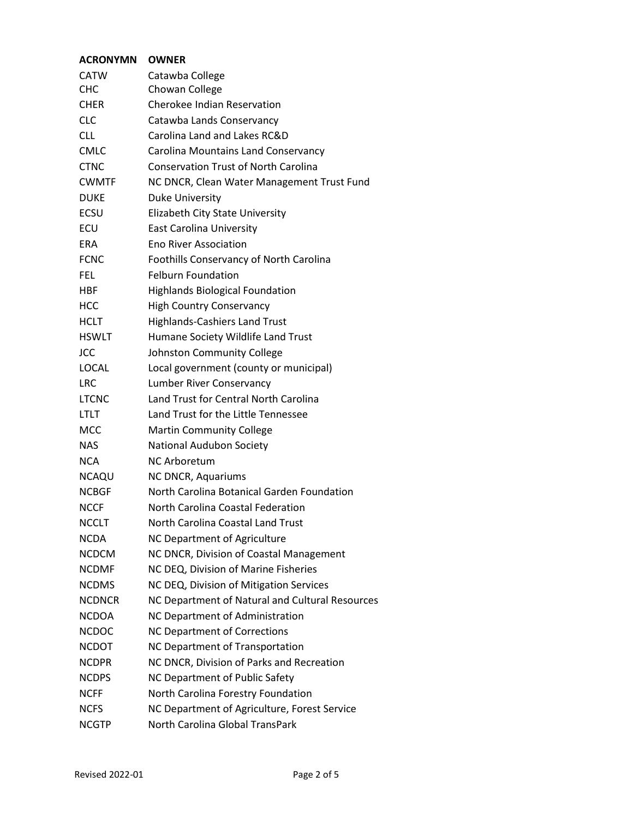| Catawba College<br>Chowan College<br><b>Cherokee Indian Reservation</b><br>Catawba Lands Conservancy<br>Carolina Land and Lakes RC&D<br>Carolina Mountains Land Conservancy<br><b>Conservation Trust of North Carolina</b><br>NC DNCR, Clean Water Management Trust Fund<br>Duke University<br>Elizabeth City State University<br>East Carolina University<br><b>Eno River Association</b><br>Foothills Conservancy of North Carolina<br><b>Felburn Foundation</b><br><b>Highlands Biological Foundation</b><br><b>High Country Conservancy</b><br><b>Highlands-Cashiers Land Trust</b><br>Humane Society Wildlife Land Trust<br>Johnston Community College<br>Local government (county or municipal)<br>Lumber River Conservancy<br>Land Trust for Central North Carolina<br>Land Trust for the Little Tennessee<br><b>Martin Community College</b><br>National Audubon Society<br><b>NC Arboretum</b><br>NC DNCR, Aquariums<br>North Carolina Botanical Garden Foundation<br>North Carolina Coastal Federation<br>North Carolina Coastal Land Trust<br>NC Department of Agriculture<br>NC DNCR, Division of Coastal Management<br>NC DEQ, Division of Marine Fisheries<br>NC DEQ, Division of Mitigation Services<br>NC Department of Natural and Cultural Resources<br>NC Department of Administration<br><b>NC Department of Corrections</b><br>NC Department of Transportation<br>NC DNCR, Division of Parks and Recreation<br>NC Department of Public Safety<br>North Carolina Forestry Foundation<br>NC Department of Agriculture, Forest Service<br>North Carolina Global TransPark | <b>ACRONYMN</b> | <b>OWNER</b> |  |  |
|---------------------------------------------------------------------------------------------------------------------------------------------------------------------------------------------------------------------------------------------------------------------------------------------------------------------------------------------------------------------------------------------------------------------------------------------------------------------------------------------------------------------------------------------------------------------------------------------------------------------------------------------------------------------------------------------------------------------------------------------------------------------------------------------------------------------------------------------------------------------------------------------------------------------------------------------------------------------------------------------------------------------------------------------------------------------------------------------------------------------------------------------------------------------------------------------------------------------------------------------------------------------------------------------------------------------------------------------------------------------------------------------------------------------------------------------------------------------------------------------------------------------------------------------------------------------------------------------|-----------------|--------------|--|--|
|                                                                                                                                                                                                                                                                                                                                                                                                                                                                                                                                                                                                                                                                                                                                                                                                                                                                                                                                                                                                                                                                                                                                                                                                                                                                                                                                                                                                                                                                                                                                                                                             | <b>CATW</b>     |              |  |  |
|                                                                                                                                                                                                                                                                                                                                                                                                                                                                                                                                                                                                                                                                                                                                                                                                                                                                                                                                                                                                                                                                                                                                                                                                                                                                                                                                                                                                                                                                                                                                                                                             | <b>CHC</b>      |              |  |  |
|                                                                                                                                                                                                                                                                                                                                                                                                                                                                                                                                                                                                                                                                                                                                                                                                                                                                                                                                                                                                                                                                                                                                                                                                                                                                                                                                                                                                                                                                                                                                                                                             | <b>CHER</b>     |              |  |  |
|                                                                                                                                                                                                                                                                                                                                                                                                                                                                                                                                                                                                                                                                                                                                                                                                                                                                                                                                                                                                                                                                                                                                                                                                                                                                                                                                                                                                                                                                                                                                                                                             | <b>CLC</b>      |              |  |  |
|                                                                                                                                                                                                                                                                                                                                                                                                                                                                                                                                                                                                                                                                                                                                                                                                                                                                                                                                                                                                                                                                                                                                                                                                                                                                                                                                                                                                                                                                                                                                                                                             | <b>CLL</b>      |              |  |  |
|                                                                                                                                                                                                                                                                                                                                                                                                                                                                                                                                                                                                                                                                                                                                                                                                                                                                                                                                                                                                                                                                                                                                                                                                                                                                                                                                                                                                                                                                                                                                                                                             | <b>CMLC</b>     |              |  |  |
|                                                                                                                                                                                                                                                                                                                                                                                                                                                                                                                                                                                                                                                                                                                                                                                                                                                                                                                                                                                                                                                                                                                                                                                                                                                                                                                                                                                                                                                                                                                                                                                             | <b>CTNC</b>     |              |  |  |
|                                                                                                                                                                                                                                                                                                                                                                                                                                                                                                                                                                                                                                                                                                                                                                                                                                                                                                                                                                                                                                                                                                                                                                                                                                                                                                                                                                                                                                                                                                                                                                                             | <b>CWMTF</b>    |              |  |  |
|                                                                                                                                                                                                                                                                                                                                                                                                                                                                                                                                                                                                                                                                                                                                                                                                                                                                                                                                                                                                                                                                                                                                                                                                                                                                                                                                                                                                                                                                                                                                                                                             | <b>DUKE</b>     |              |  |  |
|                                                                                                                                                                                                                                                                                                                                                                                                                                                                                                                                                                                                                                                                                                                                                                                                                                                                                                                                                                                                                                                                                                                                                                                                                                                                                                                                                                                                                                                                                                                                                                                             | ECSU            |              |  |  |
|                                                                                                                                                                                                                                                                                                                                                                                                                                                                                                                                                                                                                                                                                                                                                                                                                                                                                                                                                                                                                                                                                                                                                                                                                                                                                                                                                                                                                                                                                                                                                                                             | ECU             |              |  |  |
|                                                                                                                                                                                                                                                                                                                                                                                                                                                                                                                                                                                                                                                                                                                                                                                                                                                                                                                                                                                                                                                                                                                                                                                                                                                                                                                                                                                                                                                                                                                                                                                             | <b>ERA</b>      |              |  |  |
|                                                                                                                                                                                                                                                                                                                                                                                                                                                                                                                                                                                                                                                                                                                                                                                                                                                                                                                                                                                                                                                                                                                                                                                                                                                                                                                                                                                                                                                                                                                                                                                             | <b>FCNC</b>     |              |  |  |
|                                                                                                                                                                                                                                                                                                                                                                                                                                                                                                                                                                                                                                                                                                                                                                                                                                                                                                                                                                                                                                                                                                                                                                                                                                                                                                                                                                                                                                                                                                                                                                                             | FEL.            |              |  |  |
|                                                                                                                                                                                                                                                                                                                                                                                                                                                                                                                                                                                                                                                                                                                                                                                                                                                                                                                                                                                                                                                                                                                                                                                                                                                                                                                                                                                                                                                                                                                                                                                             | <b>HBF</b>      |              |  |  |
|                                                                                                                                                                                                                                                                                                                                                                                                                                                                                                                                                                                                                                                                                                                                                                                                                                                                                                                                                                                                                                                                                                                                                                                                                                                                                                                                                                                                                                                                                                                                                                                             | <b>HCC</b>      |              |  |  |
|                                                                                                                                                                                                                                                                                                                                                                                                                                                                                                                                                                                                                                                                                                                                                                                                                                                                                                                                                                                                                                                                                                                                                                                                                                                                                                                                                                                                                                                                                                                                                                                             | <b>HCLT</b>     |              |  |  |
|                                                                                                                                                                                                                                                                                                                                                                                                                                                                                                                                                                                                                                                                                                                                                                                                                                                                                                                                                                                                                                                                                                                                                                                                                                                                                                                                                                                                                                                                                                                                                                                             | <b>HSWLT</b>    |              |  |  |
|                                                                                                                                                                                                                                                                                                                                                                                                                                                                                                                                                                                                                                                                                                                                                                                                                                                                                                                                                                                                                                                                                                                                                                                                                                                                                                                                                                                                                                                                                                                                                                                             | JCC             |              |  |  |
|                                                                                                                                                                                                                                                                                                                                                                                                                                                                                                                                                                                                                                                                                                                                                                                                                                                                                                                                                                                                                                                                                                                                                                                                                                                                                                                                                                                                                                                                                                                                                                                             | <b>LOCAL</b>    |              |  |  |
|                                                                                                                                                                                                                                                                                                                                                                                                                                                                                                                                                                                                                                                                                                                                                                                                                                                                                                                                                                                                                                                                                                                                                                                                                                                                                                                                                                                                                                                                                                                                                                                             | LRC             |              |  |  |
|                                                                                                                                                                                                                                                                                                                                                                                                                                                                                                                                                                                                                                                                                                                                                                                                                                                                                                                                                                                                                                                                                                                                                                                                                                                                                                                                                                                                                                                                                                                                                                                             | <b>LTCNC</b>    |              |  |  |
|                                                                                                                                                                                                                                                                                                                                                                                                                                                                                                                                                                                                                                                                                                                                                                                                                                                                                                                                                                                                                                                                                                                                                                                                                                                                                                                                                                                                                                                                                                                                                                                             | LTLT            |              |  |  |
|                                                                                                                                                                                                                                                                                                                                                                                                                                                                                                                                                                                                                                                                                                                                                                                                                                                                                                                                                                                                                                                                                                                                                                                                                                                                                                                                                                                                                                                                                                                                                                                             | <b>MCC</b>      |              |  |  |
|                                                                                                                                                                                                                                                                                                                                                                                                                                                                                                                                                                                                                                                                                                                                                                                                                                                                                                                                                                                                                                                                                                                                                                                                                                                                                                                                                                                                                                                                                                                                                                                             | <b>NAS</b>      |              |  |  |
|                                                                                                                                                                                                                                                                                                                                                                                                                                                                                                                                                                                                                                                                                                                                                                                                                                                                                                                                                                                                                                                                                                                                                                                                                                                                                                                                                                                                                                                                                                                                                                                             | <b>NCA</b>      |              |  |  |
|                                                                                                                                                                                                                                                                                                                                                                                                                                                                                                                                                                                                                                                                                                                                                                                                                                                                                                                                                                                                                                                                                                                                                                                                                                                                                                                                                                                                                                                                                                                                                                                             | <b>NCAQU</b>    |              |  |  |
|                                                                                                                                                                                                                                                                                                                                                                                                                                                                                                                                                                                                                                                                                                                                                                                                                                                                                                                                                                                                                                                                                                                                                                                                                                                                                                                                                                                                                                                                                                                                                                                             | <b>NCBGF</b>    |              |  |  |
|                                                                                                                                                                                                                                                                                                                                                                                                                                                                                                                                                                                                                                                                                                                                                                                                                                                                                                                                                                                                                                                                                                                                                                                                                                                                                                                                                                                                                                                                                                                                                                                             | <b>NCCF</b>     |              |  |  |
|                                                                                                                                                                                                                                                                                                                                                                                                                                                                                                                                                                                                                                                                                                                                                                                                                                                                                                                                                                                                                                                                                                                                                                                                                                                                                                                                                                                                                                                                                                                                                                                             | <b>NCCLT</b>    |              |  |  |
|                                                                                                                                                                                                                                                                                                                                                                                                                                                                                                                                                                                                                                                                                                                                                                                                                                                                                                                                                                                                                                                                                                                                                                                                                                                                                                                                                                                                                                                                                                                                                                                             | <b>NCDA</b>     |              |  |  |
|                                                                                                                                                                                                                                                                                                                                                                                                                                                                                                                                                                                                                                                                                                                                                                                                                                                                                                                                                                                                                                                                                                                                                                                                                                                                                                                                                                                                                                                                                                                                                                                             | <b>NCDCM</b>    |              |  |  |
|                                                                                                                                                                                                                                                                                                                                                                                                                                                                                                                                                                                                                                                                                                                                                                                                                                                                                                                                                                                                                                                                                                                                                                                                                                                                                                                                                                                                                                                                                                                                                                                             | <b>NCDMF</b>    |              |  |  |
|                                                                                                                                                                                                                                                                                                                                                                                                                                                                                                                                                                                                                                                                                                                                                                                                                                                                                                                                                                                                                                                                                                                                                                                                                                                                                                                                                                                                                                                                                                                                                                                             | <b>NCDMS</b>    |              |  |  |
|                                                                                                                                                                                                                                                                                                                                                                                                                                                                                                                                                                                                                                                                                                                                                                                                                                                                                                                                                                                                                                                                                                                                                                                                                                                                                                                                                                                                                                                                                                                                                                                             | <b>NCDNCR</b>   |              |  |  |
|                                                                                                                                                                                                                                                                                                                                                                                                                                                                                                                                                                                                                                                                                                                                                                                                                                                                                                                                                                                                                                                                                                                                                                                                                                                                                                                                                                                                                                                                                                                                                                                             | <b>NCDOA</b>    |              |  |  |
|                                                                                                                                                                                                                                                                                                                                                                                                                                                                                                                                                                                                                                                                                                                                                                                                                                                                                                                                                                                                                                                                                                                                                                                                                                                                                                                                                                                                                                                                                                                                                                                             | <b>NCDOC</b>    |              |  |  |
|                                                                                                                                                                                                                                                                                                                                                                                                                                                                                                                                                                                                                                                                                                                                                                                                                                                                                                                                                                                                                                                                                                                                                                                                                                                                                                                                                                                                                                                                                                                                                                                             | <b>NCDOT</b>    |              |  |  |
|                                                                                                                                                                                                                                                                                                                                                                                                                                                                                                                                                                                                                                                                                                                                                                                                                                                                                                                                                                                                                                                                                                                                                                                                                                                                                                                                                                                                                                                                                                                                                                                             | <b>NCDPR</b>    |              |  |  |
|                                                                                                                                                                                                                                                                                                                                                                                                                                                                                                                                                                                                                                                                                                                                                                                                                                                                                                                                                                                                                                                                                                                                                                                                                                                                                                                                                                                                                                                                                                                                                                                             | <b>NCDPS</b>    |              |  |  |
|                                                                                                                                                                                                                                                                                                                                                                                                                                                                                                                                                                                                                                                                                                                                                                                                                                                                                                                                                                                                                                                                                                                                                                                                                                                                                                                                                                                                                                                                                                                                                                                             | <b>NCFF</b>     |              |  |  |
|                                                                                                                                                                                                                                                                                                                                                                                                                                                                                                                                                                                                                                                                                                                                                                                                                                                                                                                                                                                                                                                                                                                                                                                                                                                                                                                                                                                                                                                                                                                                                                                             | <b>NCFS</b>     |              |  |  |
|                                                                                                                                                                                                                                                                                                                                                                                                                                                                                                                                                                                                                                                                                                                                                                                                                                                                                                                                                                                                                                                                                                                                                                                                                                                                                                                                                                                                                                                                                                                                                                                             | <b>NCGTP</b>    |              |  |  |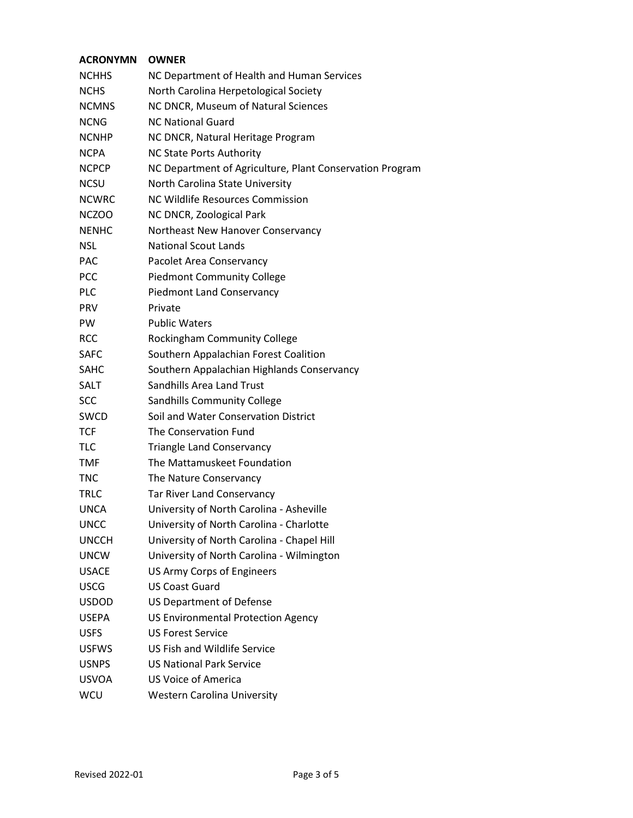| <b>ACRONYMN</b> | <b>OWNER</b>                                             |
|-----------------|----------------------------------------------------------|
| <b>NCHHS</b>    | NC Department of Health and Human Services               |
| <b>NCHS</b>     | North Carolina Herpetological Society                    |
| <b>NCMNS</b>    | NC DNCR, Museum of Natural Sciences                      |
| <b>NCNG</b>     | <b>NC National Guard</b>                                 |
| <b>NCNHP</b>    | NC DNCR, Natural Heritage Program                        |
| <b>NCPA</b>     | <b>NC State Ports Authority</b>                          |
| <b>NCPCP</b>    | NC Department of Agriculture, Plant Conservation Program |
| <b>NCSU</b>     | North Carolina State University                          |
| <b>NCWRC</b>    | NC Wildlife Resources Commission                         |
| <b>NCZOO</b>    | NC DNCR, Zoological Park                                 |
| <b>NENHC</b>    | Northeast New Hanover Conservancy                        |
| <b>NSL</b>      | <b>National Scout Lands</b>                              |
| PAC.            | Pacolet Area Conservancy                                 |
| PCC             | <b>Piedmont Community College</b>                        |
| <b>PLC</b>      | <b>Piedmont Land Conservancy</b>                         |
| <b>PRV</b>      | Private                                                  |
| <b>PW</b>       | <b>Public Waters</b>                                     |
| <b>RCC</b>      | Rockingham Community College                             |
| <b>SAFC</b>     | Southern Appalachian Forest Coalition                    |
| <b>SAHC</b>     | Southern Appalachian Highlands Conservancy               |
| SALT            | <b>Sandhills Area Land Trust</b>                         |
| <b>SCC</b>      | Sandhills Community College                              |
| <b>SWCD</b>     | Soil and Water Conservation District                     |
| <b>TCF</b>      | The Conservation Fund                                    |
| TLC             | <b>Triangle Land Conservancy</b>                         |
| <b>TMF</b>      | The Mattamuskeet Foundation                              |
| <b>TNC</b>      | The Nature Conservancy                                   |
| <b>TRLC</b>     | Tar River Land Conservancy                               |
| <b>UNCA</b>     | University of North Carolina - Asheville                 |
| <b>UNCC</b>     | University of North Carolina - Charlotte                 |
| <b>UNCCH</b>    | University of North Carolina - Chapel Hill               |
| <b>UNCW</b>     | University of North Carolina - Wilmington                |
| <b>USACE</b>    | <b>US Army Corps of Engineers</b>                        |
| <b>USCG</b>     | <b>US Coast Guard</b>                                    |
| <b>USDOD</b>    | <b>US Department of Defense</b>                          |
| <b>USEPA</b>    | <b>US Environmental Protection Agency</b>                |
| <b>USFS</b>     | <b>US Forest Service</b>                                 |
| <b>USFWS</b>    | <b>US Fish and Wildlife Service</b>                      |
| <b>USNPS</b>    | <b>US National Park Service</b>                          |
| <b>USVOA</b>    | <b>US Voice of America</b>                               |
| WCU             | <b>Western Carolina University</b>                       |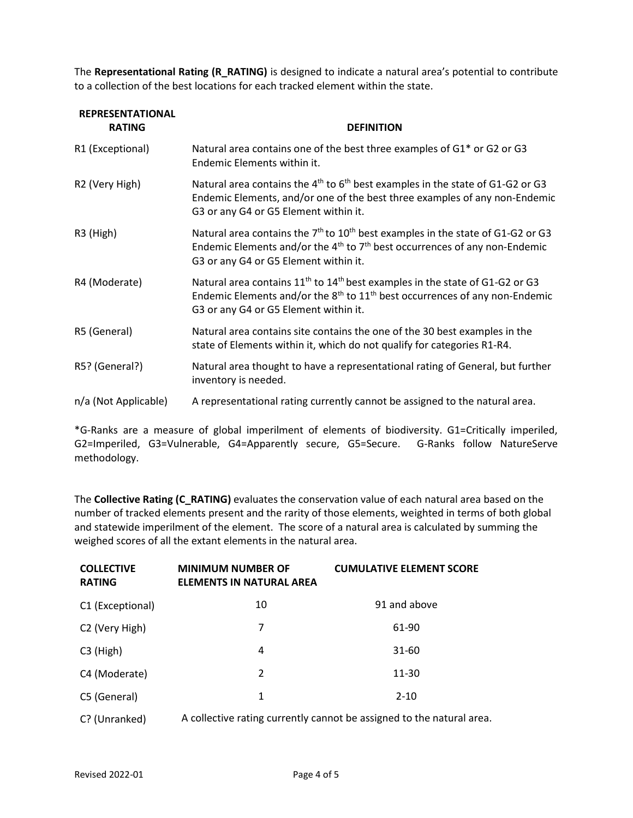The Representational Rating (R\_RATING) is designed to indicate a natural area's potential to contribute to a collection of the best locations for each tracked element within the state.

| <b>REPRESENTATIONAL</b><br><b>RATING</b> | <b>DEFINITION</b>                                                                                                                                                                                                                  |  |
|------------------------------------------|------------------------------------------------------------------------------------------------------------------------------------------------------------------------------------------------------------------------------------|--|
| R1 (Exceptional)                         | Natural area contains one of the best three examples of G1* or G2 or G3<br>Endemic Elements within it.                                                                                                                             |  |
| R2 (Very High)                           | Natural area contains the $4^{th}$ to $6^{th}$ best examples in the state of G1-G2 or G3<br>Endemic Elements, and/or one of the best three examples of any non-Endemic<br>G3 or any G4 or G5 Element within it.                    |  |
| R3 (High)                                | Natural area contains the $7th$ to $10th$ best examples in the state of G1-G2 or G3<br>Endemic Elements and/or the 4 <sup>th</sup> to 7 <sup>th</sup> best occurrences of any non-Endemic<br>G3 or any G4 or G5 Element within it. |  |
| R4 (Moderate)                            | Natural area contains 11 <sup>th</sup> to 14 <sup>th</sup> best examples in the state of G1-G2 or G3<br>Endemic Elements and/or the $8th$ to $11th$ best occurrences of any non-Endemic<br>G3 or any G4 or G5 Element within it.   |  |
| R5 (General)                             | Natural area contains site contains the one of the 30 best examples in the<br>state of Elements within it, which do not qualify for categories R1-R4.                                                                              |  |
| R5? (General?)                           | Natural area thought to have a representational rating of General, but further<br>inventory is needed.                                                                                                                             |  |
| n/a (Not Applicable)                     | A representational rating currently cannot be assigned to the natural area.                                                                                                                                                        |  |

\*G-Ranks are a measure of global imperilment of elements of biodiversity. G1=Critically imperiled, G2=Imperiled, G3=Vulnerable, G4=Apparently secure, G5=Secure. G-Ranks follow NatureServe methodology.

The Collective Rating (C\_RATING) evaluates the conservation value of each natural area based on the number of tracked elements present and the rarity of those elements, weighted in terms of both global and statewide imperilment of the element. The score of a natural area is calculated by summing the weighed scores of all the extant elements in the natural area.

| <b>COLLECTIVE</b><br><b>RATING</b> | <b>MINIMUM NUMBER OF</b><br><b>ELEMENTS IN NATURAL AREA</b>           | <b>CUMULATIVE ELEMENT SCORE</b> |
|------------------------------------|-----------------------------------------------------------------------|---------------------------------|
| C1 (Exceptional)                   | 10                                                                    | 91 and above                    |
| C <sub>2</sub> (Very High)         | 7                                                                     | 61-90                           |
| $C3$ (High)                        | 4                                                                     | 31-60                           |
| C4 (Moderate)                      | $\mathcal{P}$                                                         | 11-30                           |
| C5 (General)                       | 1                                                                     | $2 - 10$                        |
| C? (Unranked)                      | A collective rating currently cannot be assigned to the natural area. |                                 |